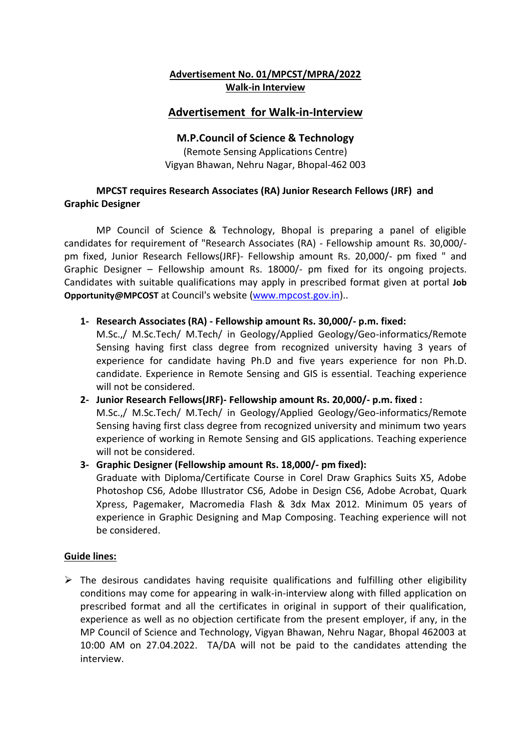### **Advertisement No. 01/MPCST/MPRA/2022 Walk-in Interview**

# **Advertisement for Walk-in-Interview**

## **M.P.Council of Science & Technology**

(Remote Sensing Applications Centre) Vigyan Bhawan, Nehru Nagar, Bhopal-462 003

### **MPCST requires Research Associates (RA) Junior Research Fellows (JRF) and Graphic Designer**

MP Council of Science & Technology, Bhopal is preparing a panel of eligible candidates for requirement of "Research Associates (RA) - Fellowship amount Rs. 30,000/ pm fixed, Junior Research Fellows(JRF)- Fellowship amount Rs. 20,000/- pm fixed " and Graphic Designer – Fellowship amount Rs. 18000/- pm fixed for its ongoing projects. Candidates with suitable qualifications may apply in prescribed format given at portal **Job Opportunity@MPCOST** at Council's website [\(www.mpcost.gov.in\)](http://www.mpcost.gov.in/)..

**1- Research Associates (RA) - Fellowship amount Rs. 30,000/- p.m. fixed:**

M.Sc.,/ M.Sc.Tech/ M.Tech/ in Geology/Applied Geology/Geo-informatics/Remote Sensing having first class degree from recognized university having 3 years of experience for candidate having Ph.D and five years experience for non Ph.D. candidate. Experience in Remote Sensing and GIS is essential. Teaching experience will not be considered.

# **2- Junior Research Fellows(JRF)- Fellowship amount Rs. 20,000/- p.m. fixed :**  M.Sc.,/ M.Sc.Tech/ M.Tech/ in Geology/Applied Geology/Geo-informatics/Remote Sensing having first class degree from recognized university and minimum two years experience of working in Remote Sensing and GIS applications. Teaching experience will not be considered.

**3- Graphic Designer (Fellowship amount Rs. 18,000/- pm fixed):**

Graduate with Diploma/Certificate Course in Corel Draw Graphics Suits X5, Adobe Photoshop CS6, Adobe Illustrator CS6, Adobe in Design CS6, Adobe Acrobat, Quark Xpress, Pagemaker, Macromedia Flash & 3dx Max 2012. Minimum 05 years of experience in Graphic Designing and Map Composing. Teaching experience will not be considered.

#### **Guide lines:**

 $\triangleright$  The desirous candidates having requisite qualifications and fulfilling other eligibility conditions may come for appearing in walk-in-interview along with filled application on prescribed format and all the certificates in original in support of their qualification, experience as well as no objection certificate from the present employer, if any, in the MP Council of Science and Technology, Vigyan Bhawan, Nehru Nagar, Bhopal 462003 at 10:00 AM on 27.04.2022. TA/DA will not be paid to the candidates attending the interview.